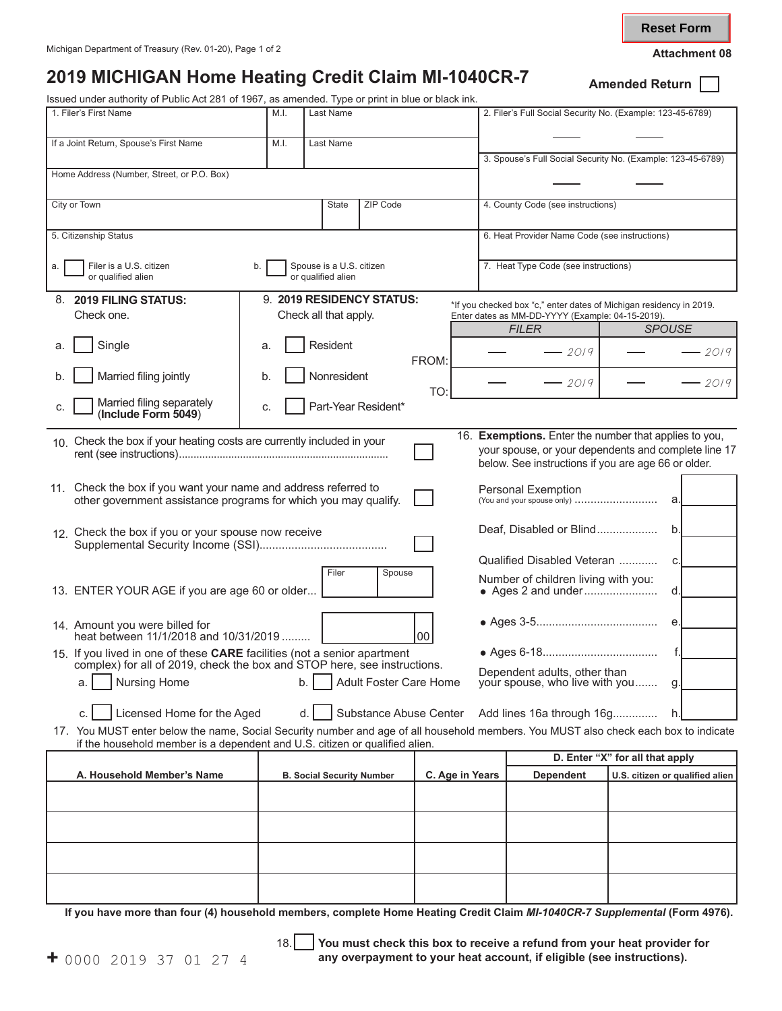**Reset Form**

## **2019 MICHIGAN Home Heating Credit Claim MI-1040CR-7** Amended Return [

Issued under authority of Public Act 281 of 1967, as amended. Type or print in blue or black ink.

| Issued under authority of Public Act 281 of 1967, as amended. Type or print in blue or black ink.                                                                                                                   |                                  |                                               |                                                                |       |                                                            |                                                                                   |                                                             |  |  |  |  |
|---------------------------------------------------------------------------------------------------------------------------------------------------------------------------------------------------------------------|----------------------------------|-----------------------------------------------|----------------------------------------------------------------|-------|------------------------------------------------------------|-----------------------------------------------------------------------------------|-------------------------------------------------------------|--|--|--|--|
| 1. Filer's First Name                                                                                                                                                                                               | Last Name                        |                                               |                                                                |       | 2. Filer's Full Social Security No. (Example: 123-45-6789) |                                                                                   |                                                             |  |  |  |  |
| If a Joint Return, Spouse's First Name                                                                                                                                                                              | M.I.                             | Last Name                                     |                                                                |       |                                                            |                                                                                   |                                                             |  |  |  |  |
|                                                                                                                                                                                                                     |                                  |                                               |                                                                |       |                                                            |                                                                                   | 3. Spouse's Full Social Security No. (Example: 123-45-6789) |  |  |  |  |
| Home Address (Number, Street, or P.O. Box)                                                                                                                                                                          |                                  |                                               |                                                                |       |                                                            |                                                                                   |                                                             |  |  |  |  |
|                                                                                                                                                                                                                     |                                  |                                               |                                                                |       |                                                            |                                                                                   |                                                             |  |  |  |  |
| City or Town<br>ZIP Code<br>State                                                                                                                                                                                   |                                  |                                               |                                                                |       |                                                            | 4. County Code (see instructions)                                                 |                                                             |  |  |  |  |
|                                                                                                                                                                                                                     |                                  |                                               |                                                                |       |                                                            |                                                                                   |                                                             |  |  |  |  |
| 5. Citizenship Status                                                                                                                                                                                               |                                  | 6. Heat Provider Name Code (see instructions) |                                                                |       |                                                            |                                                                                   |                                                             |  |  |  |  |
|                                                                                                                                                                                                                     |                                  |                                               |                                                                |       |                                                            |                                                                                   |                                                             |  |  |  |  |
| Filer is a U.S. citizen<br>a.<br>or qualified alien                                                                                                                                                                 |                                  | 7. Heat Type Code (see instructions)          |                                                                |       |                                                            |                                                                                   |                                                             |  |  |  |  |
|                                                                                                                                                                                                                     |                                  |                                               |                                                                |       |                                                            |                                                                                   |                                                             |  |  |  |  |
| 8. 2019 FILING STATUS:                                                                                                                                                                                              |                                  | 9. 2019 RESIDENCY STATUS:                     |                                                                |       |                                                            | *If you checked box "c," enter dates of Michigan residency in 2019.               |                                                             |  |  |  |  |
| Check one.                                                                                                                                                                                                          | Check all that apply.            |                                               |                                                                |       |                                                            | Enter dates as MM-DD-YYYY (Example: 04-15-2019).<br><b>FILER</b><br><b>SPOUSE</b> |                                                             |  |  |  |  |
|                                                                                                                                                                                                                     |                                  | Resident                                      |                                                                |       |                                                            |                                                                                   |                                                             |  |  |  |  |
| Single<br>a.                                                                                                                                                                                                        | a.                               |                                               |                                                                | FROM: |                                                            | $-2019$                                                                           | - 2019                                                      |  |  |  |  |
| Married filing jointly<br>b.                                                                                                                                                                                        | b.                               | Nonresident                                   |                                                                |       |                                                            | $-2019$                                                                           | $-2019$                                                     |  |  |  |  |
| Married filing separately<br>C.                                                                                                                                                                                     | C.                               | Part-Year Resident*                           |                                                                | TO:   |                                                            |                                                                                   |                                                             |  |  |  |  |
| (Include Form 5049)                                                                                                                                                                                                 |                                  |                                               |                                                                |       |                                                            |                                                                                   |                                                             |  |  |  |  |
| 10. Check the box if your heating costs are currently included in your                                                                                                                                              |                                  |                                               |                                                                |       |                                                            |                                                                                   | 16. Exemptions. Enter the number that applies to you,       |  |  |  |  |
|                                                                                                                                                                                                                     |                                  |                                               |                                                                |       |                                                            | your spouse, or your dependents and complete line 17                              |                                                             |  |  |  |  |
|                                                                                                                                                                                                                     |                                  |                                               |                                                                |       |                                                            |                                                                                   | below. See instructions if you are age 66 or older.         |  |  |  |  |
|                                                                                                                                                                                                                     |                                  |                                               |                                                                |       |                                                            |                                                                                   |                                                             |  |  |  |  |
| 11. Check the box if you want your name and address referred to<br>other government assistance programs for which you may qualify.                                                                                  |                                  |                                               |                                                                |       |                                                            | Personal Exemption<br>a.                                                          |                                                             |  |  |  |  |
|                                                                                                                                                                                                                     |                                  |                                               |                                                                |       |                                                            |                                                                                   |                                                             |  |  |  |  |
| 12. Check the box if you or your spouse now receive                                                                                                                                                                 |                                  |                                               |                                                                |       |                                                            | Deaf, Disabled or Blind<br>b.                                                     |                                                             |  |  |  |  |
|                                                                                                                                                                                                                     |                                  |                                               |                                                                |       |                                                            |                                                                                   |                                                             |  |  |  |  |
|                                                                                                                                                                                                                     |                                  | Number of children living with you:           |                                                                |       |                                                            |                                                                                   |                                                             |  |  |  |  |
| 13. ENTER YOUR AGE if you are age 60 or older                                                                                                                                                                       |                                  |                                               |                                                                |       | d.                                                         |                                                                                   |                                                             |  |  |  |  |
|                                                                                                                                                                                                                     |                                  |                                               |                                                                |       |                                                            |                                                                                   |                                                             |  |  |  |  |
|                                                                                                                                                                                                                     |                                  |                                               |                                                                |       |                                                            |                                                                                   | е.                                                          |  |  |  |  |
| 14. Amount you were billed for<br>heat between 11/1/2018 and 10/31/2019<br> 00                                                                                                                                      |                                  |                                               |                                                                |       |                                                            |                                                                                   |                                                             |  |  |  |  |
| 15. If you lived in one of these CARE facilities (not a senior apartment<br>complex) for all of 2019, check the box and STOP here, see instructions.                                                                |                                  |                                               | f.                                                             |       |                                                            |                                                                                   |                                                             |  |  |  |  |
| <b>Nursing Home</b>                                                                                                                                                                                                 |                                  |                                               | Dependent adults, other than<br>your spouse, who live with you |       |                                                            |                                                                                   |                                                             |  |  |  |  |
| a.                                                                                                                                                                                                                  |                                  | b.                                            | Adult Foster Care Home                                         |       |                                                            |                                                                                   | g.                                                          |  |  |  |  |
|                                                                                                                                                                                                                     |                                  | d.                                            |                                                                |       |                                                            |                                                                                   |                                                             |  |  |  |  |
| Licensed Home for the Aged<br>Substance Abuse Center<br>Add lines 16a through 16g<br>h.                                                                                                                             |                                  |                                               |                                                                |       |                                                            |                                                                                   |                                                             |  |  |  |  |
| 17. You MUST enter below the name, Social Security number and age of all household members. You MUST also check each box to indicate<br>if the household member is a dependent and U.S. citizen or qualified alien. |                                  |                                               |                                                                |       |                                                            |                                                                                   |                                                             |  |  |  |  |
|                                                                                                                                                                                                                     |                                  |                                               | D. Enter "X" for all that apply                                |       |                                                            |                                                                                   |                                                             |  |  |  |  |
| A. Household Member's Name                                                                                                                                                                                          | <b>B. Social Security Number</b> |                                               |                                                                |       | C. Age in Years                                            | <b>Dependent</b>                                                                  | U.S. citizen or qualified alien                             |  |  |  |  |
|                                                                                                                                                                                                                     |                                  |                                               |                                                                |       |                                                            |                                                                                   |                                                             |  |  |  |  |
|                                                                                                                                                                                                                     |                                  |                                               |                                                                |       |                                                            |                                                                                   |                                                             |  |  |  |  |
|                                                                                                                                                                                                                     |                                  |                                               |                                                                |       |                                                            |                                                                                   |                                                             |  |  |  |  |
|                                                                                                                                                                                                                     |                                  |                                               |                                                                |       |                                                            |                                                                                   |                                                             |  |  |  |  |
|                                                                                                                                                                                                                     |                                  |                                               |                                                                |       |                                                            |                                                                                   |                                                             |  |  |  |  |
|                                                                                                                                                                                                                     |                                  |                                               |                                                                |       |                                                            |                                                                                   |                                                             |  |  |  |  |

**If you have more than four (4) household members, complete Home Heating Credit Claim** *MI-1040CR-7 Supplemental* **(Form 4976).**

18. **You must check this box to receive a refund from your heat provider for +** 0000 2019 37 01 27 4 **any overpayment to your heat account, if eligible (see instructions).**